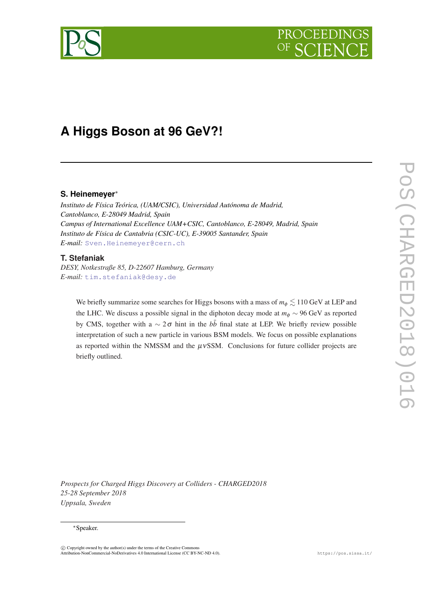

# **A Higgs Boson at 96 GeV?!**

# **S. Heinemeyer**<sup>∗</sup>

*Instituto de Física Teórica, (UAM/CSIC), Universidad Autónoma de Madrid, Cantoblanco, E-28049 Madrid, Spain Campus of International Excellence UAM+CSIC, Cantoblanco, E-28049, Madrid, Spain Instituto de Física de Cantabria (CSIC-UC), E-39005 Santander, Spain E-mail:* [Sven.Heinemeyer@cern.ch](mailto:Sven.Heinemeyer@cern.ch)

# **T. Stefaniak**

*DESY, Notkestraße 85, D-22607 Hamburg, Germany E-mail:* [tim.stefaniak@desy.de](mailto:tim.stefaniak@desy.de)

> We briefly summarize some searches for Higgs bosons with a mass of  $m_\phi \lesssim 110\text{ GeV}$  at LEP and the LHC. We discuss a possible signal in the diphoton decay mode at  $m_{\phi} \sim 96 \text{ GeV}$  as reported by CMS, together with a  $\sim 2\sigma$  hint in the *bb* final state at LEP. We briefly review possible interpretation of such a new particle in various BSM models. We focus on possible explanations as reported within the NMSSM and the  $\mu$ vSSM. Conclusions for future collider projects are briefly outlined.

*Prospects for Charged Higgs Discovery at Colliders - CHARGED2018 25-28 September 2018 Uppsala, Sweden*

#### <sup>∗</sup>Speaker.

 $\overline{c}$  Copyright owned by the author(s) under the terms of the Creative Common Attribution-NonCommercial-NoDerivatives 4.0 International License (CC BY-NC-ND 4.0). https://pos.sissa.it/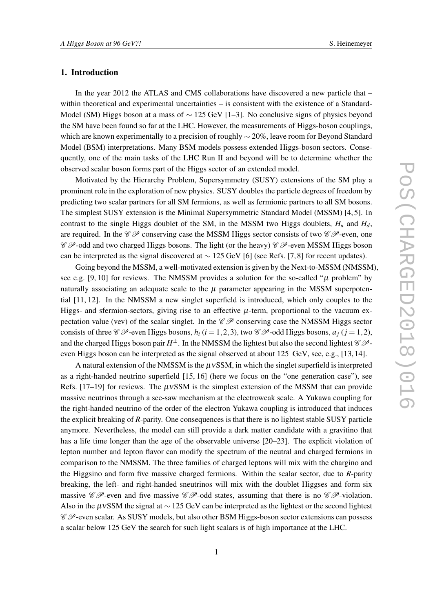# 1. Introduction

In the year 2012 the ATLAS and CMS collaborations have discovered a new particle that – within theoretical and experimental uncertainties – is consistent with the existence of a Standard-Model (SM) Higgs boson at a mass of  $\sim$  125 GeV [1–3]. No conclusive signs of physics beyond the SM have been found so far at the LHC. However, the measurements of Higgs-boson couplings, which are known experimentally to a precision of roughly  $\sim$  20%, leave room for Beyond Standard Model (BSM) interpretations. Many BSM models possess extended Higgs-boson sectors. Consequently, one of the main tasks of the LHC Run II and beyond will be to determine whether the observed scalar boson forms part of the Higgs sector of an extended model.

Motivated by the Hierarchy Problem, Supersymmetry (SUSY) extensions of the SM play a prominent role in the exploration of new physics. SUSY doubles the particle degrees of freedom by predicting two scalar partners for all SM fermions, as well as fermionic partners to all SM bosons. The simplest SUSY extension is the Minimal Supersymmetric Standard Model (MSSM) [4, 5]. In contrast to the single Higgs doublet of the SM, in the MSSM two Higgs doublets,  $H_u$  and  $H_d$ , are required. In the  $\mathscr{CP}$  conserving case the MSSM Higgs sector consists of two  $\mathscr{CP}$ -even, one  $\mathscr{C}$   $\mathscr{P}$ -odd and two charged Higgs bosons. The light (or the heavy)  $\mathscr{C}$   $\mathscr{P}$ -even MSSM Higgs boson can be interpreted as the signal discovered at  $\sim$  125 GeV [6] (see Refs. [7, 8] for recent updates).

Going beyond the MSSM, a well-motivated extension is given by the Next-to-MSSM (NMSSM), see e.g. [9, 10] for reviews. The NMSSM provides a solution for the so-called " $\mu$  problem" by naturally associating an adequate scale to the  $\mu$  parameter appearing in the MSSM superpotential [11, 12]. In the NMSSM a new singlet superfield is introduced, which only couples to the Higgs- and sfermion-sectors, giving rise to an effective  $\mu$ -term, proportional to the vacuum expectation value (vev) of the scalar singlet. In the  $\mathscr{CP}$  conserving case the NMSSM Higgs sector consists of three  $\mathcal{C}$   $\mathcal{P}$ -even Higgs bosons,  $h_i$  ( $i = 1, 2, 3$ ), two  $\mathcal{C}$   $\mathcal{P}$ -odd Higgs bosons,  $a_i$  ( $i = 1, 2$ ), and the charged Higgs boson pair  $H^\pm$ . In the NMSSM the lightest but also the second lightest  $\mathscr{C}\mathscr{P}$ even Higgs boson can be interpreted as the signal observed at about 125 GeV, see, e.g., [13, 14].

A natural extension of the NMSSM is the  $\mu$ vSSM, in which the singlet superfield is interpreted as a right-handed neutrino superfield [15, 16] (here we focus on the "one generation case"), see Refs.  $[17–19]$  for reviews. The  $\mu$ vSSM is the simplest extension of the MSSM that can provide massive neutrinos through a see-saw mechanism at the electroweak scale. A Yukawa coupling for the right-handed neutrino of the order of the electron Yukawa coupling is introduced that induces the explicit breaking of *R*-parity. One consequences is that there is no lightest stable SUSY particle anymore. Nevertheless, the model can still provide a dark matter candidate with a gravitino that has a life time longer than the age of the observable universe [20–23]. The explicit violation of lepton number and lepton flavor can modify the spectrum of the neutral and charged fermions in comparison to the NMSSM. The three families of charged leptons will mix with the chargino and the Higgsino and form five massive charged fermions. Within the scalar sector, due to *R*-parity breaking, the left- and right-handed sneutrinos will mix with the doublet Higgses and form six massive  $\mathscr{C}$ -even and five massive  $\mathscr{C}$ -odd states, assuming that there is no  $\mathscr{C}$ -violation. Also in the  $\mu$ vSSM the signal at ~ 125 GeV can be interpreted as the lightest or the second lightest  $\mathscr{CP}$ -even scalar. As SUSY models, but also other BSM Higgs-boson sector extensions can possess a scalar below 125 GeV the search for such light scalars is of high importance at the LHC.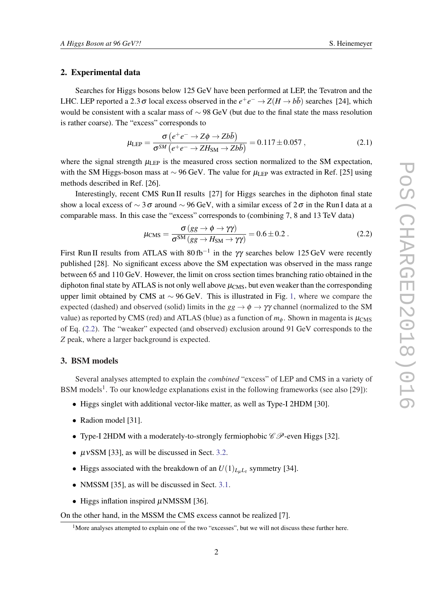# 2. Experimental data

Searches for Higgs bosons below 125 GeV have been performed at LEP, the Tevatron and the LHC. LEP reported a 2.3  $\sigma$  local excess observed in the  $e^+e^- \to Z(H \to b\bar{b})$  searches [24], which would be consistent with a scalar mass of ∼ 98 GeV (but due to the final state the mass resolution is rather coarse). The "excess" corresponds to

$$
\mu_{\text{LEP}} = \frac{\sigma \left(e^+e^- \to Z\phi \to Zb\bar{b}\right)}{\sigma^{SM}\left(e^+e^- \to ZH_{\text{SM}} \to Zb\bar{b}\right)} = 0.117 \pm 0.057 ,\qquad (2.1)
$$

where the signal strength  $\mu_{\text{LEP}}$  is the measured cross section normalized to the SM expectation, with the SM Higgs-boson mass at  $\sim$  96 GeV. The value for  $\mu_{\text{LEP}}$  was extracted in Ref. [25] using methods described in Ref. [26].

Interestingly, recent CMS Run II results [27] for Higgs searches in the diphoton final state show a local excess of  $\sim$  3 $\sigma$  around  $\sim$  96 GeV, with a similar excess of 2 $\sigma$  in the Run I data at a comparable mass. In this case the "excess" corresponds to (combining 7, 8 and 13 TeV data)

$$
\mu_{\rm CMS} = \frac{\sigma (gg \to \phi \to \gamma \gamma)}{\sigma^{\rm SM} (gg \to H_{\rm SM} \to \gamma \gamma)} = 0.6 \pm 0.2 \,. \tag{2.2}
$$

First Run II results from ATLAS with  $80$  fb<sup>-1</sup> in the  $\gamma\gamma$  searches below 125 GeV were recently published [28]. No significant excess above the SM expectation was observed in the mass range between 65 and 110 GeV. However, the limit on cross section times branching ratio obtained in the diphoton final state by ATLAS is not only well above  $\mu_{CMS}$ , but even weaker than the corresponding upper limit obtained by CMS at ∼ 96 GeV. This is illustrated in Fig. [1,](#page-3-0) where we compare the expected (dashed) and observed (solid) limits in the  $gg \to \phi \to \gamma \gamma$  channel (normalized to the SM value) as reported by CMS (red) and ATLAS (blue) as a function of  $m_{\phi}$ . Shown in magenta is  $\mu_{\rm CMS}$ of Eq. (2.2). The "weaker" expected (and observed) exclusion around 91 GeV corresponds to the *Z* peak, where a larger background is expected.

#### 3. BSM models

Several analyses attempted to explain the *combined* "excess" of LEP and CMS in a variety of BSM models<sup>1</sup>. To our knowledge explanations exist in the following frameworks (see also [29]):

- Higgs singlet with additional vector-like matter, as well as Type-I 2HDM [30].
- Radion model [31].
- Type-I 2HDM with a moderately-to-strongly fermiophobic  $\mathscr{C} \mathscr{P}$ -even Higgs [32].
- $\mu$ vSSM [33], as will be discussed in Sect. [3.2.](#page-4-0)
- Higgs associated with the breakdown of an  $U(1)_{L_{\mu}L_{\tau}}$  symmetry [34].
- NMSSM [35], as will be discussed in Sect. [3.1](#page-3-0).
- Higgs inflation inspired  $\mu$ NMSSM [36].

On the other hand, in the MSSM the CMS excess cannot be realized [7].

<sup>&</sup>lt;sup>1</sup>More analyses attempted to explain one of the two "excesses", but we will not discuss these further here.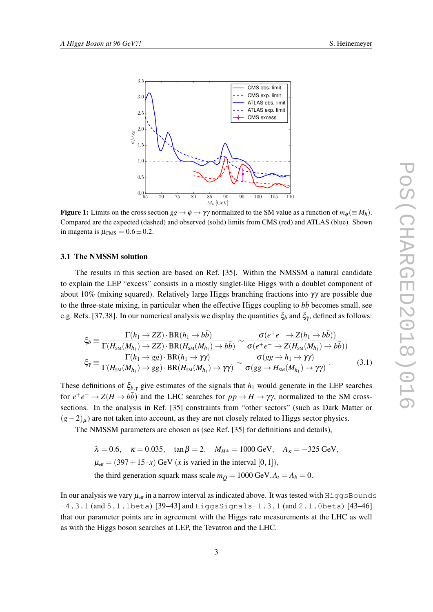<span id="page-3-0"></span>

**Figure 1:** Limits on the cross section  $gg \to \phi \to \gamma\gamma$  normalized to the SM value as a function of  $m_{\phi} (\equiv M_h)$ . Compared are the expected (dashed) and observed (solid) limits from CMS (red) and ATLAS (blue). Shown in magenta is  $\mu_{\text{CMS}} = 0.6 \pm 0.2$ .

#### 3.1 The NMSSM solution

The results in this section are based on Ref. [35]. Within the NMSSM a natural candidate to explain the LEP "excess" consists in a mostly singlet-like Higgs with a doublet component of about 10% (mixing squared). Relatively large Higgs branching fractions into γγ are possible due to the three-state mixing, in particular when the effective Higgs coupling to *bb* becomes small, see e.g. Refs. [37,38]. In our numerical analysis we display the quantities  $\xi_b$  and  $\xi_\gamma$ , defined as follows:

$$
\xi_b \equiv \frac{\Gamma(h_1 \to ZZ) \cdot BR(h_1 \to b\bar{b})}{\Gamma(H_{\rm SM}(M_{h_1}) \to ZZ) \cdot BR(H_{\rm SM}(M_{h_1}) \to b\bar{b})} \sim \frac{\sigma(e^+e^- \to Z(h_1 \to b\bar{b}))}{\sigma(e^+e^- \to Z(H_{\rm SM}(M_{h_1}) \to b\bar{b}))}
$$
  

$$
\xi_{\gamma} \equiv \frac{\Gamma(h_1 \to gg) \cdot BR(h_1 \to \gamma\gamma)}{\Gamma(H_{\rm SM}(M_{h_1}) \to gg) \cdot BR(H_{\rm SM}(M_{h_1}) \to \gamma\gamma)} \sim \frac{\sigma(gg \to h_1 \to \gamma\gamma)}{\sigma(gg \to H_{\rm SM}(M_{h_1}) \to \gamma\gamma)}.
$$
(3.1)

These definitions of  $\xi_{b,y}$  give estimates of the signals that  $h_1$  would generate in the LEP searches for  $e^+e^- \to Z(H \to b\bar{b})$  and the LHC searches for  $pp \to H \to \gamma\gamma$ , normalized to the SM crosssections. In the analysis in Ref. [35] constraints from "other sectors" (such as Dark Matter or  $(g-2)_u$ ) are not taken into account, as they are not closely related to Higgs sector physics.

The NMSSM parameters are chosen as (see Ref. [35] for definitions and details),

 $\lambda = 0.6$ ,  $\kappa = 0.035$ ,  $\tan \beta = 2$ ,  $M_{H^{\pm}} = 1000 \text{ GeV}$ ,  $A_{K} = -325 \text{ GeV}$ ,  $\mu_{\text{eff}} = (397 + 15 \cdot x) \text{ GeV}$  (*x* is varied in the interval [0, 1]), the third generation squark mass scale  $m_{\tilde{O}} = 1000 \text{ GeV}, A_t = A_b = 0.$ 

In our analysis we vary  $\mu_{\rm eff}$  in a narrow interval as indicated above. It was tested with HiggsBounds  $-4.3.1$  (and  $5.1.1$ beta)  $[39-43]$  and  $\text{Higgsignals}-1.3.1$  (and  $2.1.0$ beta)  $[43-46]$ that our parameter points are in agreement with the Higgs rate measurements at the LHC as well as with the Higgs boson searches at LEP, the Tevatron and the LHC.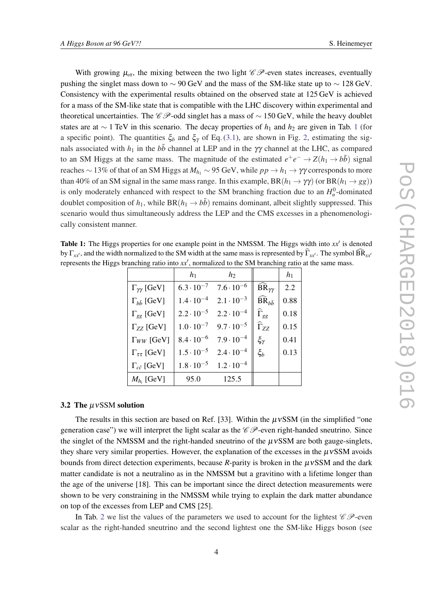<span id="page-4-0"></span>With growing  $\mu_{\rm eff}$ , the mixing between the two light  $\mathscr{C} \mathscr{P}$ -even states increases, eventually pushing the singlet mass down to  $\sim$  90 GeV and the mass of the SM-like state up to  $\sim$  128 GeV. Consistency with the experimental results obtained on the observed state at 125 GeV is achieved for a mass of the SM-like state that is compatible with the LHC discovery within experimental and theoretical uncertainties. The  $\mathscr{C}P$ -odd singlet has a mass of  $\sim$  150 GeV, while the heavy doublet states are at ∼ 1 TeV in this scenario. The decay properties of *h*<sub>1</sub> and *h*<sub>2</sub> are given in Tab. 1 (for a specific point). The quantities  $\xi_b$  and  $\xi_{\gamma}$  of Eq. ([3.1\)](#page-3-0), are shown in Fig. [2,](#page-5-0) estimating the signals associated with  $h_1$  in the  $b\bar{b}$  channel at LEP and in the γγ channel at the LHC, as compared to an SM Higgs at the same mass. The magnitude of the estimated  $e^+e^- \rightarrow Z(h_1 \rightarrow b\bar{b})$  signal reaches ~ 13% of that of an SM Higgs at  $M_{h_1} \sim 95$  GeV, while  $pp \to h_1 \to \gamma\gamma$  corresponds to more than 40% of an SM signal in the same mass range. In this example,  $BR(h_1 \rightarrow \gamma \gamma)$  (or  $BR(h_1 \rightarrow gg)$ ) is only moderately enhanced with respect to the SM branching fraction due to an  $H_u^0$ -dominated doublet composition of  $h_1$ , while BR( $h_1 \rightarrow b\bar{b}$ ) remains dominant, albeit slightly suppressed. This scenario would thus simultaneously address the LEP and the CMS excesses in a phenomenologically consistent manner.

Table 1: The Higgs properties for one example point in the NMSSM. The Higgs width into  $xx'$  is denoted by  $\Gamma_{xx}$ , and the width normalized to the SM width at the same mass is represented by  $\Gamma_{xx}$ . The symbol BR<sub>xx</sub><sup>0</sup> represents the Higgs branching ratio into  $xx'$ , normalized to the SM branching ratio at the same mass.

|                               | $h_1$               | $h_2$               |                                  | $h_1$ |
|-------------------------------|---------------------|---------------------|----------------------------------|-------|
| $\Gamma_{\gamma\gamma}$ [GeV] | $6.3 \cdot 10^{-7}$ | $7.6 \cdot 10^{-6}$ | $\widehat{BR}_{\gamma\gamma}$    | 2.2   |
| $\Gamma_{h\bar{h}}$ [GeV]     | $1.4 \cdot 10^{-4}$ | $2.1 \cdot 10^{-3}$ | $\widehat{\text{BR}}_{h\bar{h}}$ | 0.88  |
| $\Gamma_{gg}$ [GeV]           | $2.2 \cdot 10^{-5}$ | $2.2 \cdot 10^{-4}$ | $\Gamma_{gg}$                    | 0.18  |
| $\Gamma_{ZZ}$ [GeV]           | $1.0 \cdot 10^{-7}$ | $9.7 \cdot 10^{-5}$ | $\widehat{\Gamma}_{ZZ}$          | 0.15  |
| $\Gamma_{WW}$ [GeV]           | $8.4 \cdot 10^{-6}$ | $7.9 \cdot 10^{-4}$ | $\xi_\gamma$                     | 0.41  |
| $\Gamma_{\tau\tau}$ [GeV]     | $1.5 \cdot 10^{-5}$ | $2.4 \cdot 10^{-4}$ | $\xi_b$                          | 0.13  |
| $\Gamma_{c\bar{c}}$ [GeV]     | $1.8 \cdot 10^{-5}$ | $1.2 \cdot 10^{-4}$ |                                  |       |
| $M_{h_i}$ [GeV]               | 95.0                | 125.5               |                                  |       |

# 3.2 The  $\mu$ vSSM solution

The results in this section are based on Ref. [33]. Within the  $\mu$ vSSM (in the simplified "one generation case") we will interpret the light scalar as the  $\mathscr{C} \mathscr{P}$ -even right-handed sneutrino. Since the singlet of the NMSSM and the right-handed sneutrino of the  $\mu$ vSSM are both gauge-singlets, they share very similar properties. However, the explanation of the excesses in the  $\mu$ vSSM avoids bounds from direct detection experiments, because  $R$ -parity is broken in the  $\mu$ vSSM and the dark matter candidate is not a neutralino as in the NMSSM but a gravitino with a lifetime longer than the age of the universe [18]. This can be important since the direct detection measurements were shown to be very constraining in the NMSSM while trying to explain the dark matter abundance on top of the excesses from LEP and CMS [25].

In Tab. [2](#page-5-0) we list the values of the parameters we used to account for the lightest  $\mathscr{C}P$ -even scalar as the right-handed sneutrino and the second lightest one the SM-like Higgs boson (see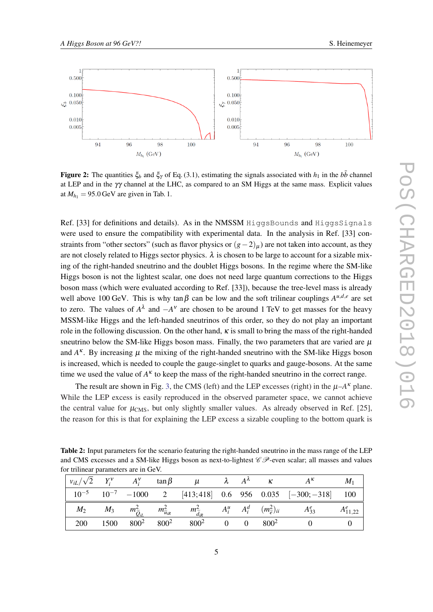<span id="page-5-0"></span>

Figure 2: The quantities  $\xi_b$  and  $\xi_\gamma$  of Eq. (3.1), estimating the signals associated with  $h_1$  in the  $b\bar{b}$  channel at LEP and in the  $\gamma\gamma$  channel at the LHC, as compared to an SM Higgs at the same mass. Explicit values at  $M_{h_1} = 95.0$  GeV are given in Tab. 1.

Ref. [33] for definitions and details). As in the NMSSM HiggsBounds and HiggsSignals were used to ensure the compatibility with experimental data. In the analysis in Ref. [33] constraints from "other sectors" (such as flavor physics or  $(g-2)_\mu$ ) are not taken into account, as they are not closely related to Higgs sector physics.  $\lambda$  is chosen to be large to account for a sizable mixing of the right-handed sneutrino and the doublet Higgs bosons. In the regime where the SM-like Higgs boson is not the lightest scalar, one does not need large quantum corrections to the Higgs boson mass (which were evaluated according to Ref. [33]), because the tree-level mass is already well above 100 GeV. This is why tan  $\beta$  can be low and the soft trilinear couplings  $A^{u,d,e}$  are set to zero. The values of  $A^{\lambda}$  and  $-A^{\nu}$  are chosen to be around 1 TeV to get masses for the heavy MSSM-like Higgs and the left-handed sneutrinos of this order, so they do not play an important role in the following discussion. On the other hand,  $\kappa$  is small to bring the mass of the right-handed sneutrino below the SM-like Higgs boson mass. Finally, the two parameters that are varied are  $\mu$ and  $A<sup>\kappa</sup>$ . By increasing  $\mu$  the mixing of the right-handed sneutrino with the SM-like Higgs boson is increased, which is needed to couple the gauge-singlet to quarks and gauge-bosons. At the same time we used the value of  $A<sup>K</sup>$  to keep the mass of the right-handed sneutrino in the correct range.

The result are shown in Fig. [3](#page-6-0), the CMS (left) and the LEP excesses (right) in the  $\mu$ - $A^{\kappa}$  plane. While the LEP excess is easily reproduced in the observed parameter space, we cannot achieve the central value for  $\mu_{CMS}$ , but only slightly smaller values. As already observed in Ref. [25], the reason for this is that for explaining the LEP excess a sizable coupling to the bottom quark is

Table 2: Input parameters for the scenario featuring the right-handed sneutrino in the mass range of the LEP and CMS excesses and a SM-like Higgs boson as next-to-lightest  $\mathscr{C} \mathscr{P}$ -even scalar; all masses and values for trilinear parameters are in GeV.

|  |  |                                                |  | $ v_{iL}/\sqrt{2}Y_i^V-A_i^V \quad \tan \beta \qquad \mu \qquad \lambda \qquad A^{\lambda} \qquad \kappa \qquad A^{\kappa} \qquad M_1$                             |  |
|--|--|------------------------------------------------|--|--------------------------------------------------------------------------------------------------------------------------------------------------------------------|--|
|  |  |                                                |  | $\begin{bmatrix} 10^{-5} & 10^{-7} & -1000 & 2 & 413,418 \end{bmatrix}$ 0.6 956 0.035 $\begin{bmatrix} -300, -318 \end{bmatrix}$ 100                               |  |
|  |  |                                                |  | $M_2$ $M_3$ $m_{\widetilde{Q}_{iL}}^2$ $m_{\widetilde{u}_{iR}}^2$ $m_{\widetilde{d}_{iR}}^2$ $A_i^u$ $A_i^d$ $(m_{\widetilde{e}}^2)_{ii}$ $A_{33}^e$ $A_{11,22}^e$ |  |
|  |  | 200 1500 $800^2$ $800^2$ $800^2$ $0$ 0 $800^2$ |  | $\overline{0}$                                                                                                                                                     |  |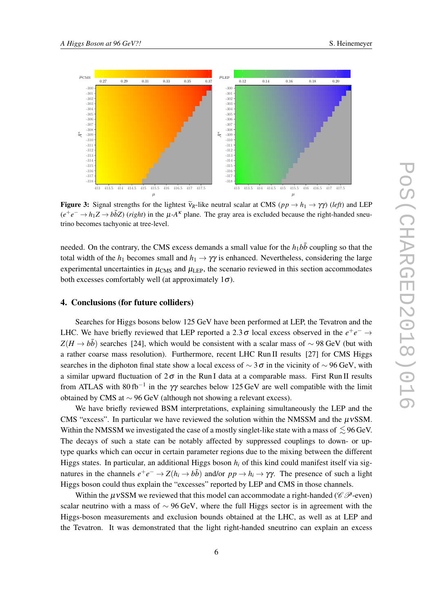<span id="page-6-0"></span>

Figure 3: Signal strengths for the lightest  $\tilde{v}_R$ -like neutral scalar at CMS ( $pp \to h_1 \to \gamma \gamma$ ) (*left*) and LEP  $(e^+e^- \to h_1 Z \to b\bar{b}Z)$  (*right*) in the  $\mu$ -*A*<sup>k</sup> plane. The gray area is excluded because the right-handed sneutrino becomes tachyonic at tree-level.

needed. On the contrary, the CMS excess demands a small value for the  $h_1 b\bar{b}$  coupling so that the total width of the  $h_1$  becomes small and  $h_1 \rightarrow \gamma \gamma$  is enhanced. Nevertheless, considering the large experimental uncertainties in  $\mu_{\rm CMS}$  and  $\mu_{\rm LEP}$ , the scenario reviewed in this section accommodates both excesses comfortably well (at approximately  $1\sigma$ ).

### 4. Conclusions (for future colliders)

Searches for Higgs bosons below 125 GeV have been performed at LEP, the Tevatron and the LHC. We have briefly reviewed that LEP reported a 2.3  $\sigma$  local excess observed in the  $e^+e^- \rightarrow$  $Z(H \to b\bar{b})$  searches [24], which would be consistent with a scalar mass of ~98 GeV (but with a rather coarse mass resolution). Furthermore, recent LHC Run II results [27] for CMS Higgs searches in the diphoton final state show a local excess of  $\sim$  3σ in the vicinity of  $\sim$  96 GeV, with a similar upward fluctuation of  $2\sigma$  in the Run I data at a comparable mass. First Run II results from ATLAS with 80 fb<sup>-1</sup> in the  $\gamma\gamma$  searches below 125 GeV are well compatible with the limit obtained by CMS at ∼ 96 GeV (although not showing a relevant excess).

We have briefly reviewed BSM interpretations, explaining simultaneously the LEP and the CMS "excess". In particular we have reviewed the solution within the NMSSM and the  $\mu$ vSSM. Within the NMSSM we investigated the case of a mostly singlet-like state with a mass of  $\leq$  96 GeV. The decays of such a state can be notably affected by suppressed couplings to down- or uptype quarks which can occur in certain parameter regions due to the mixing between the different Higgs states. In particular, an additional Higgs boson *h<sup>i</sup>* of this kind could manifest itself via signatures in the channels  $e^+e^- \to Z(h_i \to b\bar{b})$  and/or  $pp \to h_i \to \gamma\gamma$ . The presence of such a light Higgs boson could thus explain the "excesses" reported by LEP and CMS in those channels.

Within the  $\mu$ vSSM we reviewed that this model can accommodate a right-handed ( $\mathscr{C} \mathscr{P}$ -even) scalar neutrino with a mass of  $\sim$  96 GeV, where the full Higgs sector is in agreement with the Higgs-boson measurements and exclusion bounds obtained at the LHC, as well as at LEP and the Tevatron. It was demonstrated that the light right-handed sneutrino can explain an excess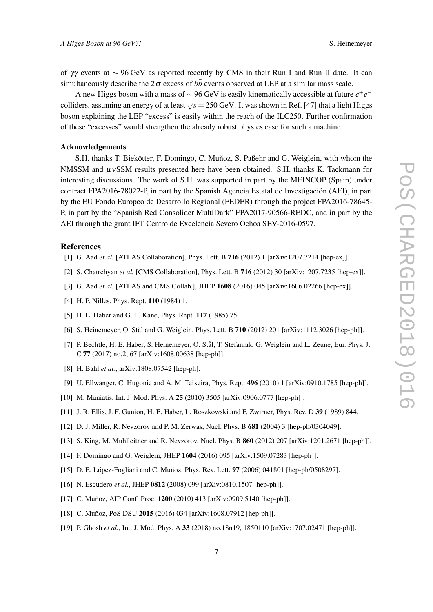of γγ events at ∼ 96 GeV as reported recently by CMS in their Run I and Run II date. It can simultaneously describe the  $2\sigma$  excess of  $b\bar{b}$  events observed at LEP at a similar mass scale.

A new Higgs boson with a mass of ∼ 96 GeV is easily kinematically accessible at future *e* +*e* − colliders, assuming an energy of at least  $\sqrt{s}$  = 250 GeV. It was shown in Ref. [47] that a light Higgs boson explaining the LEP "excess" is easily within the reach of the ILC250. Further confirmation of these "excesses" would strengthen the already robust physics case for such a machine.

### Acknowledgements

S.H. thanks T. Biekötter, F. Domingo, C. Muñoz, S. Paßehr and G. Weiglein, with whom the NMSSM and  $\mu$ vSSM results presented here have been obtained. S.H. thanks K. Tackmann for interesting discussions. The work of S.H. was supported in part by the MEINCOP (Spain) under contract FPA2016-78022-P, in part by the Spanish Agencia Estatal de Investigación (AEI), in part by the EU Fondo Europeo de Desarrollo Regional (FEDER) through the project FPA2016-78645- P, in part by the "Spanish Red Consolider MultiDark" FPA2017-90566-REDC, and in part by the AEI through the grant IFT Centro de Excelencia Severo Ochoa SEV-2016-0597.

#### **References**

- [1] G. Aad *et al.* [ATLAS Collaboration], Phys. Lett. B **716** (2012) 1 [arXiv:1207.7214 [hep-ex]].
- [2] S. Chatrchyan *et al.* [CMS Collaboration], Phys. Lett. B 716 (2012) 30 [arXiv:1207.7235 [hep-ex]].
- [3] G. Aad *et al.* [ATLAS and CMS Collab.], JHEP 1608 (2016) 045 [arXiv:1606.02266 [hep-ex]].
- [4] H. P. Nilles, Phys. Rept. **110** (1984) 1.
- [5] H. E. Haber and G. L. Kane, Phys. Rept. 117 (1985) 75.
- [6] S. Heinemeyer, O. Stål and G. Weiglein, Phys. Lett. B 710 (2012) 201 [arXiv:1112.3026 [hep-ph]].
- [7] P. Bechtle, H. E. Haber, S. Heinemeyer, O. Stål, T. Stefaniak, G. Weiglein and L. Zeune, Eur. Phys. J. C 77 (2017) no.2, 67 [arXiv:1608.00638 [hep-ph]].
- [8] H. Bahl *et al.*, arXiv:1808.07542 [hep-ph].
- [9] U. Ellwanger, C. Hugonie and A. M. Teixeira, Phys. Rept. 496 (2010) 1 [arXiv:0910.1785 [hep-ph]].
- [10] M. Maniatis, Int. J. Mod. Phys. A 25 (2010) 3505 [arXiv:0906.0777 [hep-ph]].
- [11] J. R. Ellis, J. F. Gunion, H. E. Haber, L. Roszkowski and F. Zwirner, Phys. Rev. D 39 (1989) 844.
- [12] D. J. Miller, R. Nevzorov and P. M. Zerwas, Nucl. Phys. B 681 (2004) 3 [hep-ph/0304049].
- [13] S. King, M. Mühlleitner and R. Nevzorov, Nucl. Phys. B 860 (2012) 207 [arXiv:1201.2671 [hep-ph]].
- [14] F. Domingo and G. Weiglein, JHEP 1604 (2016) 095 [arXiv:1509.07283 [hep-ph]].
- [15] D. E. López-Fogliani and C. Muñoz, Phys. Rev. Lett. 97 (2006) 041801 [hep-ph/0508297].
- [16] N. Escudero *et al.*, JHEP **0812** (2008) 099 [arXiv:0810.1507 [hep-ph]].
- [17] C. Muñoz, AIP Conf. Proc. 1200 (2010) 413 [arXiv:0909.5140 [hep-ph]].
- [18] C. Muñoz, PoS DSU 2015 (2016) 034 [arXiv:1608.07912 [hep-ph]].
- [19] P. Ghosh *et al.*, Int. J. Mod. Phys. A 33 (2018) no.18n19, 1850110 [arXiv:1707.02471 [hep-ph]].